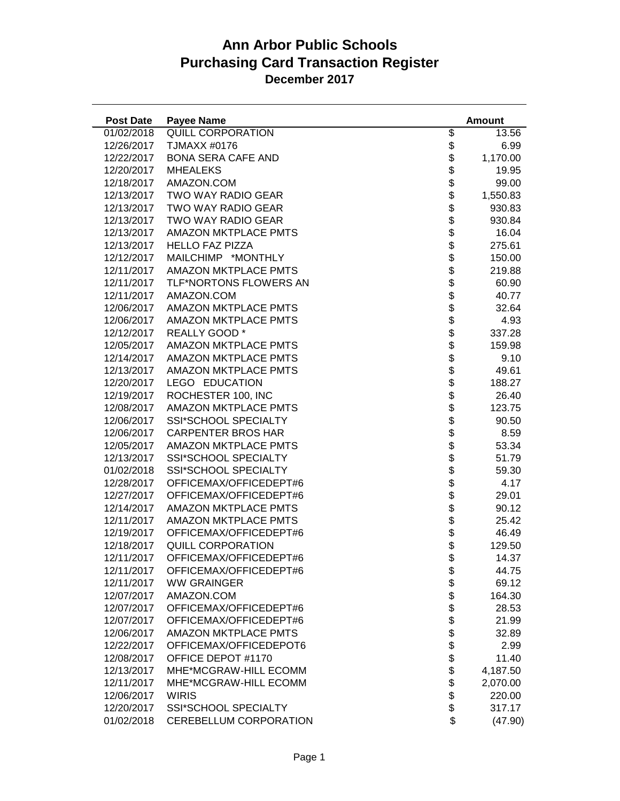| <b>Post Date</b> | <b>Payee Name</b>           |                | <b>Amount</b> |
|------------------|-----------------------------|----------------|---------------|
| 01/02/2018       | QUILL CORPORATION           | \$             | 13.56         |
| 12/26/2017       | TJMAXX #0176                | \$             | 6.99          |
| 12/22/2017       | <b>BONA SERA CAFE AND</b>   | \$             | 1,170.00      |
| 12/20/2017       | <b>MHEALEKS</b>             | \$             | 19.95         |
| 12/18/2017       | AMAZON.COM                  | \$             | 99.00         |
| 12/13/2017       | <b>TWO WAY RADIO GEAR</b>   | \$             | 1,550.83      |
| 12/13/2017       | TWO WAY RADIO GEAR          | \$             | 930.83        |
| 12/13/2017       | TWO WAY RADIO GEAR          | \$             | 930.84        |
| 12/13/2017       | <b>AMAZON MKTPLACE PMTS</b> | \$             | 16.04         |
| 12/13/2017       | <b>HELLO FAZ PIZZA</b>      | \$             | 275.61        |
| 12/12/2017       | MAILCHIMP *MONTHLY          | \$             | 150.00        |
| 12/11/2017       | <b>AMAZON MKTPLACE PMTS</b> | \$             | 219.88        |
| 12/11/2017       | TLF*NORTONS FLOWERS AN      | \$             | 60.90         |
| 12/11/2017       | AMAZON.COM                  | \$             | 40.77         |
| 12/06/2017       | <b>AMAZON MKTPLACE PMTS</b> | \$             | 32.64         |
| 12/06/2017       | <b>AMAZON MKTPLACE PMTS</b> | \$             | 4.93          |
| 12/12/2017       | REALLY GOOD *               | \$             | 337.28        |
| 12/05/2017       | <b>AMAZON MKTPLACE PMTS</b> | \$             | 159.98        |
| 12/14/2017       | AMAZON MKTPLACE PMTS        |                | 9.10          |
| 12/13/2017       | <b>AMAZON MKTPLACE PMTS</b> | \$\$\$\$\$     | 49.61         |
| 12/20/2017       | LEGO EDUCATION              |                | 188.27        |
| 12/19/2017       | ROCHESTER 100, INC          |                | 26.40         |
| 12/08/2017       | <b>AMAZON MKTPLACE PMTS</b> |                | 123.75        |
| 12/06/2017       | SSI*SCHOOL SPECIALTY        |                | 90.50         |
| 12/06/2017       | <b>CARPENTER BROS HAR</b>   | \$\$           | 8.59          |
| 12/05/2017       | <b>AMAZON MKTPLACE PMTS</b> |                | 53.34         |
| 12/13/2017       | SSI*SCHOOL SPECIALTY        | \$             | 51.79         |
| 01/02/2018       | SSI*SCHOOL SPECIALTY        | \$             | 59.30         |
| 12/28/2017       | OFFICEMAX/OFFICEDEPT#6      | \$             | 4.17          |
| 12/27/2017       | OFFICEMAX/OFFICEDEPT#6      | \$             | 29.01         |
| 12/14/2017       | <b>AMAZON MKTPLACE PMTS</b> | \$             | 90.12         |
| 12/11/2017       | <b>AMAZON MKTPLACE PMTS</b> | \$             | 25.42         |
| 12/19/2017       | OFFICEMAX/OFFICEDEPT#6      | \$             | 46.49         |
| 12/18/2017       | QUILL CORPORATION           | \$             | 129.50        |
| 12/11/2017       | OFFICEMAX/OFFICEDEPT#6      | \$             | 14.37         |
| 12/11/2017       | OFFICEMAX/OFFICEDEPT#6      | \$             | 44.75         |
| 12/11/2017       | <b>WW GRAINGER</b>          |                | 69.12         |
| 12/07/2017       | AMAZON.COM                  |                | 164.30        |
| 12/07/2017       | OFFICEMAX/OFFICEDEPT#6      | <b>8888888</b> | 28.53         |
| 12/07/2017       | OFFICEMAX/OFFICEDEPT#6      |                | 21.99         |
| 12/06/2017       | <b>AMAZON MKTPLACE PMTS</b> |                | 32.89         |
| 12/22/2017       | OFFICEMAX/OFFICEDEPOT6      |                | 2.99          |
| 12/08/2017       | OFFICE DEPOT #1170          |                | 11.40         |
| 12/13/2017       | MHE*MCGRAW-HILL ECOMM       | \$             | 4,187.50      |
| 12/11/2017       | MHE*MCGRAW-HILL ECOMM       | \$             | 2,070.00      |
| 12/06/2017       | <b>WIRIS</b>                |                | 220.00        |
| 12/20/2017       | <b>SSI*SCHOOL SPECIALTY</b> | \$             | 317.17        |
| 01/02/2018       | CEREBELLUM CORPORATION      | \$             | (47.90)       |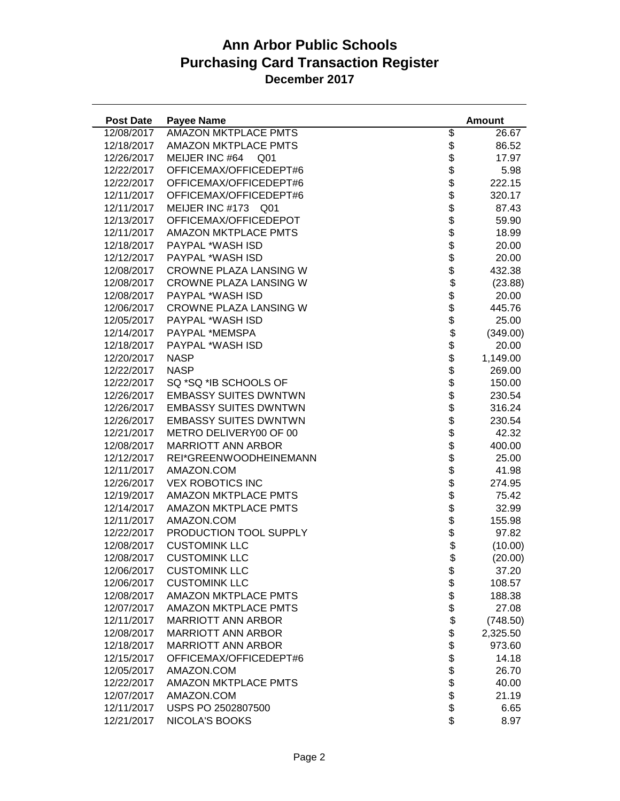| <b>Post Date</b> | <b>Payee Name</b>                 |                              | <b>Amount</b> |
|------------------|-----------------------------------|------------------------------|---------------|
| 12/08/2017       | <b>AMAZON MKTPLACE PMTS</b>       | \$                           | 26.67         |
| 12/18/2017       | <b>AMAZON MKTPLACE PMTS</b>       | \$                           | 86.52         |
| 12/26/2017       | MEIJER INC #64<br>Q <sub>01</sub> |                              | 17.97         |
| 12/22/2017       | OFFICEMAX/OFFICEDEPT#6            |                              | 5.98          |
| 12/22/2017       | OFFICEMAX/OFFICEDEPT#6            | <b>888888888</b>             | 222.15        |
| 12/11/2017       | OFFICEMAX/OFFICEDEPT#6            |                              | 320.17        |
| 12/11/2017       | MEIJER INC #173<br>Q01            |                              | 87.43         |
| 12/13/2017       | OFFICEMAX/OFFICEDEPOT             |                              | 59.90         |
| 12/11/2017       | <b>AMAZON MKTPLACE PMTS</b>       |                              | 18.99         |
| 12/18/2017       | PAYPAL *WASH ISD                  |                              | 20.00         |
| 12/12/2017       | PAYPAL *WASH ISD                  |                              | 20.00         |
| 12/08/2017       | CROWNE PLAZA LANSING W            |                              | 432.38        |
| 12/08/2017       | CROWNE PLAZA LANSING W            | $\ddot{\$}$                  | (23.88)       |
| 12/08/2017       | PAYPAL *WASH ISD                  |                              | 20.00         |
| 12/06/2017       | CROWNE PLAZA LANSING W            |                              | 445.76        |
| 12/05/2017       | PAYPAL *WASH ISD                  |                              | 25.00         |
| 12/14/2017       | PAYPAL *MEMSPA                    |                              | (349.00)      |
| 12/18/2017       | PAYPAL *WASH ISD                  |                              | 20.00         |
| 12/20/2017       | <b>NASP</b>                       |                              | 1,149.00      |
| 12/22/2017       | <b>NASP</b>                       |                              | 269.00        |
| 12/22/2017       | SQ *SQ *IB SCHOOLS OF             |                              | 150.00        |
| 12/26/2017       | <b>EMBASSY SUITES DWNTWN</b>      |                              | 230.54        |
| 12/26/2017       | <b>EMBASSY SUITES DWNTWN</b>      |                              | 316.24        |
| 12/26/2017       | <b>EMBASSY SUITES DWNTWN</b>      |                              | 230.54        |
| 12/21/2017       | METRO DELIVERY00 OF 00            |                              | 42.32         |
| 12/08/2017       | <b>MARRIOTT ANN ARBOR</b>         |                              | 400.00        |
| 12/12/2017       | REI*GREENWOODHEINEMANN            |                              | 25.00         |
| 12/11/2017       | AMAZON.COM                        |                              | 41.98         |
| 12/26/2017       | <b>VEX ROBOTICS INC</b>           |                              | 274.95        |
| 12/19/2017       | <b>AMAZON MKTPLACE PMTS</b>       |                              | 75.42         |
| 12/14/2017       | <b>AMAZON MKTPLACE PMTS</b>       |                              | 32.99         |
| 12/11/2017       | AMAZON.COM                        |                              | 155.98        |
| 12/22/2017       | PRODUCTION TOOL SUPPLY            | \$<br>\$                     | 97.82         |
| 12/08/2017       | <b>CUSTOMINK LLC</b>              | \$                           | (10.00)       |
| 12/08/2017       | <b>CUSTOMINK LLC</b>              | \$                           | (20.00)       |
| 12/06/2017       | <b>CUSTOMINK LLC</b>              |                              | 37.20         |
| 12/06/2017       | <b>CUSTOMINK LLC</b>              |                              | 108.57        |
| 12/08/2017       | <b>AMAZON MKTPLACE PMTS</b>       |                              | 188.38        |
| 12/07/2017       | <b>AMAZON MKTPLACE PMTS</b>       |                              | 27.08         |
| 12/11/2017       | <b>MARRIOTT ANN ARBOR</b>         |                              | (748.50)      |
| 12/08/2017       | <b>MARRIOTT ANN ARBOR</b>         |                              | 2,325.50      |
| 12/18/2017       | <b>MARRIOTT ANN ARBOR</b>         |                              | 973.60        |
| 12/15/2017       | OFFICEMAX/OFFICEDEPT#6            |                              | 14.18         |
| 12/05/2017       | AMAZON.COM                        | \$\$\$\$\$\$\$\$\$\$\$\$\$\$ | 26.70         |
| 12/22/2017       | <b>AMAZON MKTPLACE PMTS</b>       |                              | 40.00         |
| 12/07/2017       | AMAZON.COM                        |                              | 21.19         |
| 12/11/2017       | USPS PO 2502807500                |                              | 6.65          |
| 12/21/2017       | NICOLA'S BOOKS                    | \$                           | 8.97          |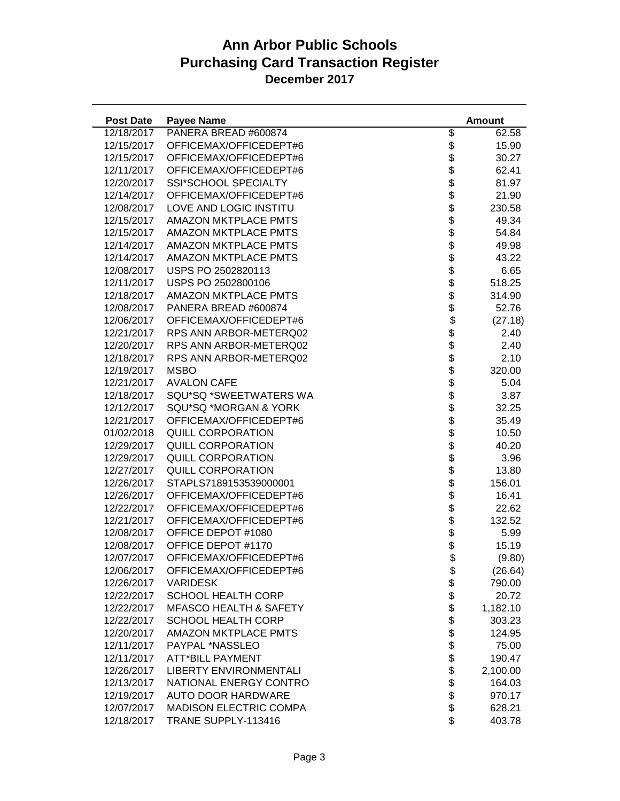| <b>Post Date</b> | <b>Payee Name</b>                 |                                            | <b>Amount</b> |
|------------------|-----------------------------------|--------------------------------------------|---------------|
| 12/18/2017       | PANERA BREAD #600874              | \$                                         | 62.58         |
| 12/15/2017       | OFFICEMAX/OFFICEDEPT#6            | \$                                         | 15.90         |
| 12/15/2017       | OFFICEMAX/OFFICEDEPT#6            |                                            | 30.27         |
| 12/11/2017       | OFFICEMAX/OFFICEDEPT#6            |                                            | 62.41         |
| 12/20/2017       | SSI*SCHOOL SPECIALTY              | \$\$\$\$\$\$\$\$\$\$\$\$                   | 81.97         |
| 12/14/2017       | OFFICEMAX/OFFICEDEPT#6            |                                            | 21.90         |
| 12/08/2017       | LOVE AND LOGIC INSTITU            |                                            | 230.58        |
| 12/15/2017       | <b>AMAZON MKTPLACE PMTS</b>       |                                            | 49.34         |
| 12/15/2017       | <b>AMAZON MKTPLACE PMTS</b>       |                                            | 54.84         |
| 12/14/2017       | <b>AMAZON MKTPLACE PMTS</b>       |                                            | 49.98         |
| 12/14/2017       | <b>AMAZON MKTPLACE PMTS</b>       |                                            | 43.22         |
| 12/08/2017       | USPS PO 2502820113                |                                            | 6.65          |
| 12/11/2017       | USPS PO 2502800106                |                                            | 518.25        |
| 12/18/2017       | <b>AMAZON MKTPLACE PMTS</b>       | $\dot{\$}$                                 | 314.90        |
| 12/08/2017       | PANERA BREAD #600874              |                                            | 52.76         |
| 12/06/2017       | OFFICEMAX/OFFICEDEPT#6            |                                            | (27.18)       |
| 12/21/2017       | RPS ANN ARBOR-METERQ02            |                                            | 2.40          |
| 12/20/2017       | RPS ANN ARBOR-METERQ02            |                                            | 2.40          |
| 12/18/2017       | RPS ANN ARBOR-METERQ02            |                                            | 2.10          |
| 12/19/2017       | <b>MSBO</b>                       |                                            | 320.00        |
| 12/21/2017       | <b>AVALON CAFE</b>                |                                            | 5.04          |
| 12/18/2017       | SQU*SQ *SWEETWATERS WA            |                                            | 3.87          |
| 12/12/2017       | SQU*SQ *MORGAN & YORK             |                                            | 32.25         |
| 12/21/2017       | OFFICEMAX/OFFICEDEPT#6            | \$\$\$\$\$\$\$\$\$\$\$\$\$\$\$\$\$\$\$\$\$ | 35.49         |
| 01/02/2018       | QUILL CORPORATION                 |                                            | 10.50         |
| 12/29/2017       | QUILL CORPORATION                 |                                            | 40.20         |
| 12/29/2017       | QUILL CORPORATION                 |                                            | 3.96          |
| 12/27/2017       | QUILL CORPORATION                 |                                            | 13.80         |
| 12/26/2017       | STAPLS7189153539000001            |                                            | 156.01        |
| 12/26/2017       | OFFICEMAX/OFFICEDEPT#6            |                                            | 16.41         |
| 12/22/2017       | OFFICEMAX/OFFICEDEPT#6            |                                            | 22.62         |
| 12/21/2017       | OFFICEMAX/OFFICEDEPT#6            |                                            | 132.52        |
| 12/08/2017       | OFFICE DEPOT #1080                | \$<br>\$                                   | 5.99          |
| 12/08/2017       | OFFICE DEPOT #1170                | $\ddot{\$}$                                | 15.19         |
| 12/07/2017       | OFFICEMAX/OFFICEDEPT#6            |                                            | (9.80)        |
| 12/06/2017       | OFFICEMAX/OFFICEDEPT#6            | \$                                         | (26.64)       |
| 12/26/2017       | <b>VARIDESK</b>                   |                                            | 790.00        |
| 12/22/2017       | <b>SCHOOL HEALTH CORP</b>         |                                            | 20.72         |
| 12/22/2017       | <b>MFASCO HEALTH &amp; SAFETY</b> |                                            | 1,182.10      |
| 12/22/2017       | <b>SCHOOL HEALTH CORP</b>         |                                            | 303.23        |
| 12/20/2017       | <b>AMAZON MKTPLACE PMTS</b>       |                                            | 124.95        |
| 12/11/2017       | PAYPAL *NASSLEO                   |                                            | 75.00         |
| 12/11/2017       | <b>ATT*BILL PAYMENT</b>           |                                            | 190.47        |
| 12/26/2017       | <b>LIBERTY ENVIRONMENTALI</b>     | \$\$\$\$\$\$\$\$\$\$\$\$                   | 2,100.00      |
| 12/13/2017       | NATIONAL ENERGY CONTRO            |                                            | 164.03        |
| 12/19/2017       | AUTO DOOR HARDWARE                |                                            | 970.17        |
| 12/07/2017       | <b>MADISON ELECTRIC COMPA</b>     |                                            | 628.21        |
| 12/18/2017       | TRANE SUPPLY-113416               | \$                                         | 403.78        |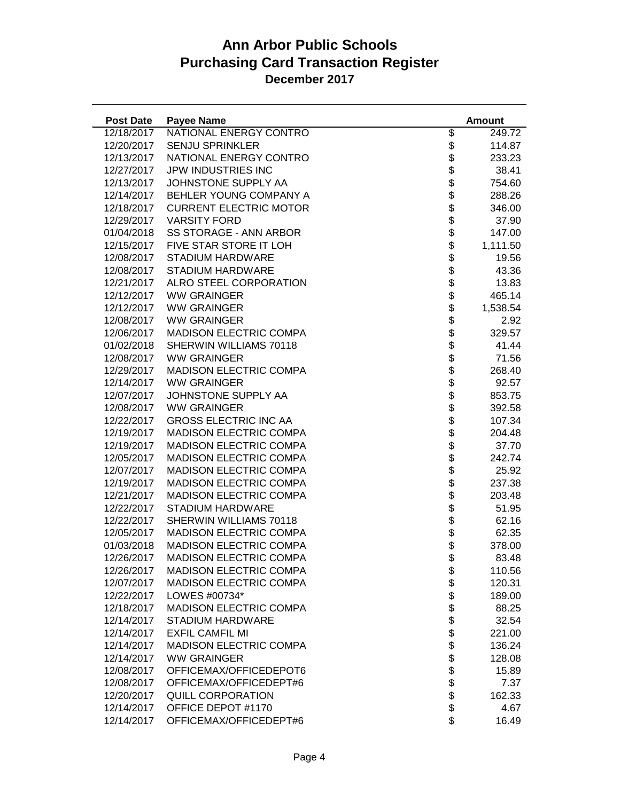| <b>Post Date</b> | <b>Payee Name</b>             |                            | <b>Amount</b> |
|------------------|-------------------------------|----------------------------|---------------|
| 12/18/2017       | NATIONAL ENERGY CONTRO        | \$                         | 249.72        |
| 12/20/2017       | <b>SENJU SPRINKLER</b>        | \$                         | 114.87        |
| 12/13/2017       | NATIONAL ENERGY CONTRO        |                            | 233.23        |
| 12/27/2017       | JPW INDUSTRIES INC            |                            | 38.41         |
| 12/13/2017       | JOHNSTONE SUPPLY AA           | \$\$\$\$\$\$\$\$\$\$\$\$\$ | 754.60        |
| 12/14/2017       | BEHLER YOUNG COMPANY A        |                            | 288.26        |
| 12/18/2017       | <b>CURRENT ELECTRIC MOTOR</b> |                            | 346.00        |
| 12/29/2017       | <b>VARSITY FORD</b>           |                            | 37.90         |
| 01/04/2018       | <b>SS STORAGE - ANN ARBOR</b> |                            | 147.00        |
| 12/15/2017       | FIVE STAR STORE IT LOH        |                            | 1,111.50      |
| 12/08/2017       | STADIUM HARDWARE              |                            | 19.56         |
| 12/08/2017       | STADIUM HARDWARE              |                            | 43.36         |
| 12/21/2017       | ALRO STEEL CORPORATION        |                            | 13.83         |
| 12/12/2017       | <b>WW GRAINGER</b>            |                            | 465.14        |
| 12/12/2017       | <b>WW GRAINGER</b>            |                            | 1,538.54      |
| 12/08/2017       | <b>WW GRAINGER</b>            |                            | 2.92          |
| 12/06/2017       | <b>MADISON ELECTRIC COMPA</b> |                            | 329.57        |
| 01/02/2018       | SHERWIN WILLIAMS 70118        |                            | 41.44         |
| 12/08/2017       | <b>WW GRAINGER</b>            |                            | 71.56         |
| 12/29/2017       | <b>MADISON ELECTRIC COMPA</b> |                            | 268.40        |
| 12/14/2017       | <b>WW GRAINGER</b>            |                            | 92.57         |
| 12/07/2017       | JOHNSTONE SUPPLY AA           |                            | 853.75        |
| 12/08/2017       | <b>WW GRAINGER</b>            |                            | 392.58        |
| 12/22/2017       | <b>GROSS ELECTRIC INC AA</b>  |                            | 107.34        |
| 12/19/2017       | <b>MADISON ELECTRIC COMPA</b> |                            | 204.48        |
| 12/19/2017       | <b>MADISON ELECTRIC COMPA</b> |                            | 37.70         |
| 12/05/2017       | <b>MADISON ELECTRIC COMPA</b> |                            | 242.74        |
| 12/07/2017       | <b>MADISON ELECTRIC COMPA</b> |                            | 25.92         |
| 12/19/2017       | <b>MADISON ELECTRIC COMPA</b> |                            | 237.38        |
| 12/21/2017       | <b>MADISON ELECTRIC COMPA</b> |                            | 203.48        |
| 12/22/2017       | STADIUM HARDWARE              |                            | 51.95         |
| 12/22/2017       | SHERWIN WILLIAMS 70118        |                            | 62.16         |
| 12/05/2017       | <b>MADISON ELECTRIC COMPA</b> |                            | 62.35         |
| 01/03/2018       | <b>MADISON ELECTRIC COMPA</b> |                            | 378.00        |
| 12/26/2017       | MADISON ELECTRIC COMPA        | \$                         | 83.48         |
| 12/26/2017       | <b>MADISON ELECTRIC COMPA</b> | \$                         | 110.56        |
| 12/07/2017       | <b>MADISON ELECTRIC COMPA</b> |                            | 120.31        |
| 12/22/2017       | LOWES #00734*                 |                            | 189.00        |
| 12/18/2017       | <b>MADISON ELECTRIC COMPA</b> |                            | 88.25         |
| 12/14/2017       | <b>STADIUM HARDWARE</b>       |                            | 32.54         |
| 12/14/2017       | <b>EXFIL CAMFIL MI</b>        |                            | 221.00        |
| 12/14/2017       | <b>MADISON ELECTRIC COMPA</b> | \$\$\$\$\$\$\$\$\$\$\$\$   | 136.24        |
| 12/14/2017       | <b>WW GRAINGER</b>            |                            | 128.08        |
| 12/08/2017       | OFFICEMAX/OFFICEDEPOT6        |                            | 15.89         |
| 12/08/2017       | OFFICEMAX/OFFICEDEPT#6        |                            | 7.37          |
| 12/20/2017       | <b>QUILL CORPORATION</b>      |                            | 162.33        |
| 12/14/2017       | OFFICE DEPOT #1170            |                            | 4.67          |
| 12/14/2017       | OFFICEMAX/OFFICEDEPT#6        | \$                         | 16.49         |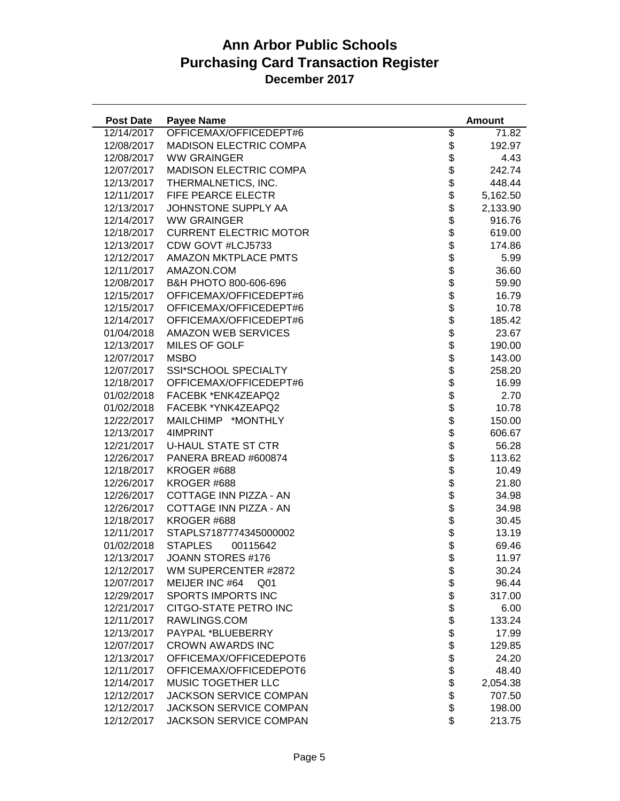| <b>Post Date</b> | <b>Payee Name</b>                 |                            | <b>Amount</b> |
|------------------|-----------------------------------|----------------------------|---------------|
| 12/14/2017       | OFFICEMAX/OFFICEDEPT#6            | \$                         | 71.82         |
| 12/08/2017       | <b>MADISON ELECTRIC COMPA</b>     | \$                         | 192.97        |
| 12/08/2017       | <b>WW GRAINGER</b>                | \$                         | 4.43          |
| 12/07/2017       | <b>MADISON ELECTRIC COMPA</b>     | \$                         | 242.74        |
| 12/13/2017       | THERMALNETICS, INC.               | $\ddot{\$}$                | 448.44        |
| 12/11/2017       | FIFE PEARCE ELECTR                | $\ddot{\$}$                | 5,162.50      |
| 12/13/2017       | JOHNSTONE SUPPLY AA               |                            | 2,133.90      |
| 12/14/2017       | <b>WW GRAINGER</b>                |                            | 916.76        |
| 12/18/2017       | <b>CURRENT ELECTRIC MOTOR</b>     |                            | 619.00        |
| 12/13/2017       | CDW GOVT #LCJ5733                 |                            | 174.86        |
| 12/12/2017       | <b>AMAZON MKTPLACE PMTS</b>       |                            | 5.99          |
| 12/11/2017       | AMAZON.COM                        |                            | 36.60         |
| 12/08/2017       | B&H PHOTO 800-606-696             |                            | 59.90         |
| 12/15/2017       | OFFICEMAX/OFFICEDEPT#6            |                            | 16.79         |
| 12/15/2017       | OFFICEMAX/OFFICEDEPT#6            | <b>おおおおおおおおおお</b>          | 10.78         |
| 12/14/2017       | OFFICEMAX/OFFICEDEPT#6            |                            | 185.42        |
| 01/04/2018       | <b>AMAZON WEB SERVICES</b>        |                            | 23.67         |
| 12/13/2017       | <b>MILES OF GOLF</b>              |                            | 190.00        |
| 12/07/2017       | <b>MSBO</b>                       |                            | 143.00        |
| 12/07/2017       | <b>SSI*SCHOOL SPECIALTY</b>       |                            | 258.20        |
| 12/18/2017       | OFFICEMAX/OFFICEDEPT#6            |                            | 16.99         |
| 01/02/2018       | FACEBK *ENK4ZEAPQ2                |                            | 2.70          |
| 01/02/2018       | FACEBK *YNK4ZEAPQ2                |                            | 10.78         |
| 12/22/2017       | MAILCHIMP *MONTHLY                |                            | 150.00        |
| 12/13/2017       | 4IMPRINT                          |                            | 606.67        |
| 12/21/2017       | <b>U-HAUL STATE ST CTR</b>        |                            | 56.28         |
| 12/26/2017       | PANERA BREAD #600874              |                            | 113.62        |
| 12/18/2017       | KROGER #688                       |                            | 10.49         |
| 12/26/2017       | KROGER #688                       |                            | 21.80         |
| 12/26/2017       | COTTAGE INN PIZZA - AN            |                            | 34.98         |
| 12/26/2017       | COTTAGE INN PIZZA - AN            |                            | 34.98         |
| 12/18/2017       | KROGER #688                       | \$                         | 30.45         |
| 12/11/2017       | STAPLS7187774345000002            | $\ddot{\$}$                | 13.19         |
| 01/02/2018       | <b>STAPLES</b><br>00115642        | \$                         | 69.46         |
| 12/13/2017       | JOANN STORES #176                 | \$                         | 11.97         |
| 12/12/2017       | WM SUPERCENTER #2872              |                            | 30.24         |
| 12/07/2017       | MEIJER INC #64<br>Q <sub>01</sub> |                            | 96.44         |
| 12/29/2017       | <b>SPORTS IMPORTS INC</b>         |                            | 317.00        |
| 12/21/2017       | CITGO-STATE PETRO INC             |                            | 6.00          |
| 12/11/2017       | RAWLINGS.COM                      |                            | 133.24        |
| 12/13/2017       | PAYPAL *BLUEBERRY                 |                            | 17.99         |
| 12/07/2017       | <b>CROWN AWARDS INC</b>           |                            | 129.85        |
| 12/13/2017       | OFFICEMAX/OFFICEDEPOT6            |                            | 24.20         |
| 12/11/2017       | OFFICEMAX/OFFICEDEPOT6            |                            | 48.40         |
| 12/14/2017       | MUSIC TOGETHER LLC                | \$\$\$\$\$\$\$\$\$\$\$\$\$ | 2,054.38      |
| 12/12/2017       | <b>JACKSON SERVICE COMPAN</b>     |                            | 707.50        |
| 12/12/2017       | JACKSON SERVICE COMPAN            |                            | 198.00        |
| 12/12/2017       | JACKSON SERVICE COMPAN            | \$                         | 213.75        |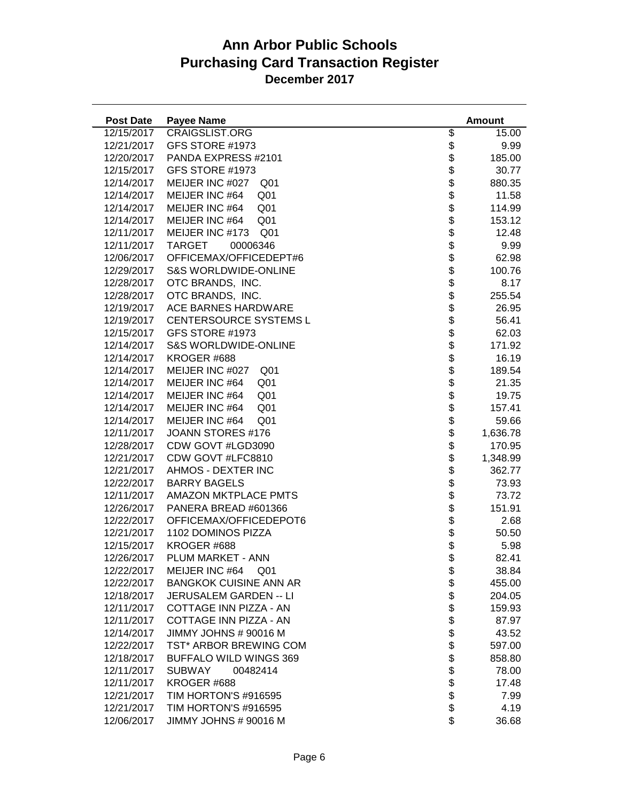| <b>Post Date</b> | <b>Payee Name</b>                  |                                  | <b>Amount</b> |
|------------------|------------------------------------|----------------------------------|---------------|
| 12/15/2017       | <b>CRAIGSLIST.ORG</b>              | \$                               | 15.00         |
| 12/21/2017       | GFS STORE #1973                    | \$                               | 9.99          |
| 12/20/2017       | PANDA EXPRESS #2101                | \$                               | 185.00        |
| 12/15/2017       | GFS STORE #1973                    |                                  | 30.77         |
| 12/14/2017       | MEIJER INC #027<br>Q <sub>01</sub> |                                  | 880.35        |
| 12/14/2017       | MEIJER INC #64<br>Q <sub>01</sub>  |                                  | 11.58         |
| 12/14/2017       | MEIJER INC #64<br>Q <sub>01</sub>  |                                  | 114.99        |
| 12/14/2017       | MEIJER INC #64<br>Q <sub>01</sub>  |                                  | 153.12        |
| 12/11/2017       | MEIJER INC #173<br>Q <sub>01</sub> |                                  | 12.48         |
| 12/11/2017       | <b>TARGET</b><br>00006346          |                                  | 9.99          |
| 12/06/2017       | OFFICEMAX/OFFICEDEPT#6             |                                  | 62.98         |
| 12/29/2017       | <b>S&amp;S WORLDWIDE-ONLINE</b>    |                                  | 100.76        |
| 12/28/2017       | OTC BRANDS, INC.                   |                                  | 8.17          |
| 12/28/2017       | OTC BRANDS, INC.                   |                                  | 255.54        |
| 12/19/2017       | ACE BARNES HARDWARE                | \$\$\$\$\$\$\$\$\$\$\$\$\$\$\$\$ | 26.95         |
| 12/19/2017       | CENTERSOURCE SYSTEMS L             |                                  | 56.41         |
| 12/15/2017       | GFS STORE #1973                    |                                  | 62.03         |
| 12/14/2017       | <b>S&amp;S WORLDWIDE-ONLINE</b>    | \$                               | 171.92        |
| 12/14/2017       | KROGER #688                        |                                  | 16.19         |
| 12/14/2017       | MEIJER INC #027<br>Q <sub>01</sub> |                                  | 189.54        |
| 12/14/2017       | MEIJER INC #64<br>Q <sub>01</sub>  |                                  | 21.35         |
| 12/14/2017       | MEIJER INC #64<br>Q <sub>01</sub>  |                                  | 19.75         |
| 12/14/2017       | MEIJER INC #64<br>Q <sub>01</sub>  |                                  | 157.41        |
| 12/14/2017       | MEIJER INC #64<br>Q <sub>01</sub>  |                                  | 59.66         |
| 12/11/2017       | JOANN STORES #176                  |                                  | 1,636.78      |
| 12/28/2017       | CDW GOVT #LGD3090                  |                                  | 170.95        |
| 12/21/2017       | CDW GOVT #LFC8810                  |                                  | 1,348.99      |
| 12/21/2017       | AHMOS - DEXTER INC                 |                                  | 362.77        |
| 12/22/2017       | <b>BARRY BAGELS</b>                |                                  | 73.93         |
| 12/11/2017       | <b>AMAZON MKTPLACE PMTS</b>        |                                  | 73.72         |
| 12/26/2017       | PANERA BREAD #601366               |                                  | 151.91        |
| 12/22/2017       | OFFICEMAX/OFFICEDEPOT6             |                                  | 2.68          |
| 12/21/2017       | 1102 DOMINOS PIZZA                 | \$                               | 50.50         |
| 12/15/2017       | KROGER #688                        | \$                               | 5.98          |
| 12/26/2017       | PLUM MARKET - ANN                  | \$                               | 82.41         |
| 12/22/2017       | MEIJER INC #64<br>Q <sub>01</sub>  | \$                               | 38.84         |
| 12/22/2017       | <b>BANGKOK CUISINE ANN AR</b>      |                                  | 455.00        |
| 12/18/2017       | <b>JERUSALEM GARDEN -- LI</b>      |                                  | 204.05        |
| 12/11/2017       | COTTAGE INN PIZZA - AN             |                                  | 159.93        |
| 12/11/2017       | COTTAGE INN PIZZA - AN             |                                  | 87.97         |
| 12/14/2017       | JIMMY JOHNS # 90016 M              |                                  | 43.52         |
| 12/22/2017       | TST* ARBOR BREWING COM             |                                  | 597.00        |
| 12/18/2017       | <b>BUFFALO WILD WINGS 369</b>      |                                  | 858.80        |
| 12/11/2017       | <b>SUBWAY</b><br>00482414          | \$\$\$\$\$\$\$\$\$\$\$\$\$\$     | 78.00         |
| 12/11/2017       | KROGER #688                        |                                  | 17.48         |
| 12/21/2017       | TIM HORTON'S #916595               |                                  | 7.99          |
| 12/21/2017       | TIM HORTON'S #916595               |                                  | 4.19          |
| 12/06/2017       | JIMMY JOHNS # 90016 M              |                                  | 36.68         |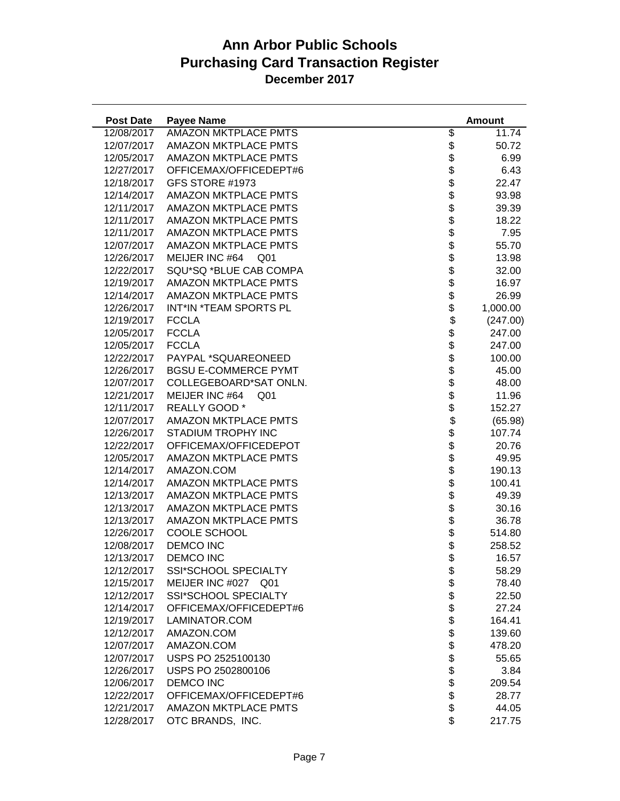| <b>Post Date</b> | <b>Payee Name</b>                 |                                            | <b>Amount</b> |
|------------------|-----------------------------------|--------------------------------------------|---------------|
| 12/08/2017       | <b>AMAZON MKTPLACE PMTS</b>       | \$                                         | 11.74         |
| 12/07/2017       | <b>AMAZON MKTPLACE PMTS</b>       | \$                                         | 50.72         |
| 12/05/2017       | <b>AMAZON MKTPLACE PMTS</b>       | \$                                         | 6.99          |
| 12/27/2017       | OFFICEMAX/OFFICEDEPT#6            |                                            | 6.43          |
| 12/18/2017       | GFS STORE #1973                   |                                            | 22.47         |
| 12/14/2017       | <b>AMAZON MKTPLACE PMTS</b>       |                                            | 93.98         |
| 12/11/2017       | <b>AMAZON MKTPLACE PMTS</b>       |                                            | 39.39         |
| 12/11/2017       | <b>AMAZON MKTPLACE PMTS</b>       |                                            | 18.22         |
| 12/11/2017       | <b>AMAZON MKTPLACE PMTS</b>       | <b>おおおおおおおおおお</b>                          | 7.95          |
| 12/07/2017       | <b>AMAZON MKTPLACE PMTS</b>       |                                            | 55.70         |
| 12/26/2017       | MEIJER INC #64<br>Q01             |                                            | 13.98         |
| 12/22/2017       | SQU*SQ *BLUE CAB COMPA            |                                            | 32.00         |
| 12/19/2017       | AMAZON MKTPLACE PMTS              |                                            | 16.97         |
| 12/14/2017       | <b>AMAZON MKTPLACE PMTS</b>       |                                            | 26.99         |
| 12/26/2017       | INT*IN *TEAM SPORTS PL            | \$                                         | 1,000.00      |
| 12/19/2017       | <b>FCCLA</b>                      |                                            | (247.00)      |
| 12/05/2017       | <b>FCCLA</b>                      |                                            | 247.00        |
| 12/05/2017       | <b>FCCLA</b>                      |                                            | 247.00        |
| 12/22/2017       | PAYPAL *SQUAREONEED               |                                            | 100.00        |
| 12/26/2017       | <b>BGSU E-COMMERCE PYMT</b>       |                                            | 45.00         |
| 12/07/2017       | COLLEGEBOARD*SAT ONLN.            |                                            | 48.00         |
| 12/21/2017       | MEIJER INC #64<br>Q <sub>01</sub> |                                            | 11.96         |
| 12/11/2017       | REALLY GOOD *                     |                                            | 152.27        |
| 12/07/2017       | <b>AMAZON MKTPLACE PMTS</b>       | \$\$\$\$\$\$\$\$\$\$\$\$\$\$\$\$\$\$\$\$\$ | (65.98)       |
| 12/26/2017       | STADIUM TROPHY INC                |                                            | 107.74        |
| 12/22/2017       | OFFICEMAX/OFFICEDEPOT             |                                            | 20.76         |
| 12/05/2017       | <b>AMAZON MKTPLACE PMTS</b>       |                                            | 49.95         |
| 12/14/2017       | AMAZON.COM                        |                                            | 190.13        |
| 12/14/2017       | <b>AMAZON MKTPLACE PMTS</b>       |                                            | 100.41        |
| 12/13/2017       | AMAZON MKTPLACE PMTS              |                                            | 49.39         |
| 12/13/2017       | <b>AMAZON MKTPLACE PMTS</b>       |                                            | 30.16         |
| 12/13/2017       | <b>AMAZON MKTPLACE PMTS</b>       |                                            | 36.78         |
| 12/26/2017       | COOLE SCHOOL                      | \$                                         | 514.80        |
| 12/08/2017       | <b>DEMCO INC</b>                  | $\ddot{\$}$                                | 258.52        |
| 12/13/2017       | DEMCO INC                         | \$                                         | 16.57         |
| 12/12/2017       | <b>SSI*SCHOOL SPECIALTY</b>       | \$                                         | 58.29         |
| 12/15/2017       | MEIJER INC #027 Q01               |                                            | 78.40         |
| 12/12/2017       | SSI*SCHOOL SPECIALTY              |                                            | 22.50         |
| 12/14/2017       | OFFICEMAX/OFFICEDEPT#6            |                                            | 27.24         |
| 12/19/2017       | LAMINATOR.COM                     |                                            | 164.41        |
| 12/12/2017       | AMAZON.COM                        |                                            | 139.60        |
| 12/07/2017       | AMAZON.COM                        |                                            | 478.20        |
| 12/07/2017       | USPS PO 2525100130                |                                            | 55.65         |
| 12/26/2017       | USPS PO 2502800106                | <b>おおおおおおおおおお</b>                          | 3.84          |
| 12/06/2017       | <b>DEMCO INC</b>                  |                                            | 209.54        |
| 12/22/2017       | OFFICEMAX/OFFICEDEPT#6            |                                            | 28.77         |
| 12/21/2017       | <b>AMAZON MKTPLACE PMTS</b>       |                                            | 44.05         |
| 12/28/2017       | OTC BRANDS, INC.                  | \$                                         | 217.75        |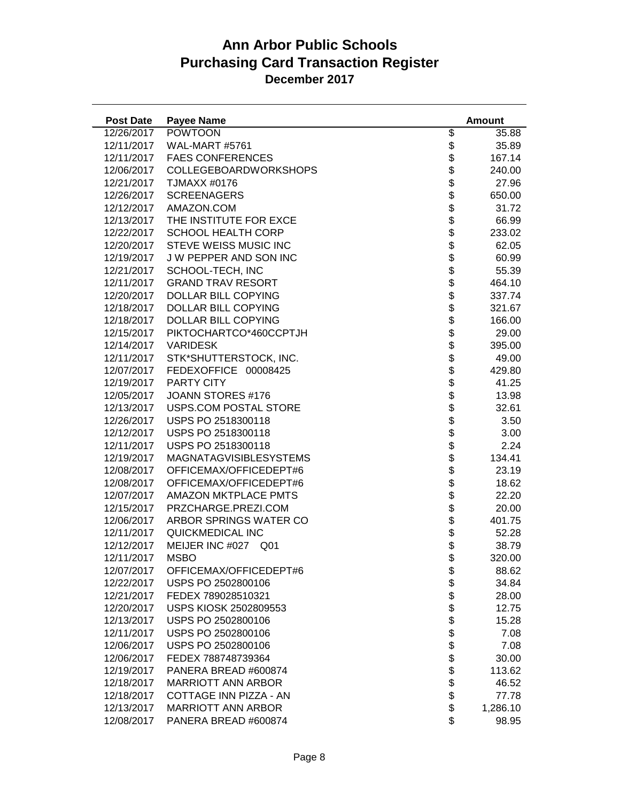| <b>Post Date</b> | <b>Payee Name</b>             |                                                                            | <b>Amount</b> |
|------------------|-------------------------------|----------------------------------------------------------------------------|---------------|
| 12/26/2017       | <b>POWTOON</b>                | \$                                                                         | 35.88         |
| 12/11/2017       | WAL-MART #5761                |                                                                            | 35.89         |
| 12/11/2017       | <b>FAES CONFERENCES</b>       |                                                                            | 167.14        |
| 12/06/2017       | COLLEGEBOARDWORKSHOPS         |                                                                            | 240.00        |
| 12/21/2017       | TJMAXX #0176                  |                                                                            | 27.96         |
| 12/26/2017       | <b>SCREENAGERS</b>            |                                                                            | 650.00        |
| 12/12/2017       | AMAZON.COM                    |                                                                            | 31.72         |
| 12/13/2017       | THE INSTITUTE FOR EXCE        |                                                                            | 66.99         |
| 12/22/2017       | <b>SCHOOL HEALTH CORP</b>     |                                                                            | 233.02        |
| 12/20/2017       | STEVE WEISS MUSIC INC         |                                                                            | 62.05         |
| 12/19/2017       | J W PEPPER AND SON INC        |                                                                            | 60.99         |
| 12/21/2017       | SCHOOL-TECH, INC              |                                                                            | 55.39         |
| 12/11/2017       | <b>GRAND TRAV RESORT</b>      |                                                                            | 464.10        |
| 12/20/2017       | DOLLAR BILL COPYING           |                                                                            | 337.74        |
| 12/18/2017       | DOLLAR BILL COPYING           |                                                                            | 321.67        |
| 12/18/2017       | DOLLAR BILL COPYING           |                                                                            | 166.00        |
| 12/15/2017       | PIKTOCHARTCO*460CCPTJH        |                                                                            | 29.00         |
| 12/14/2017       | <b>VARIDESK</b>               |                                                                            | 395.00        |
| 12/11/2017       | STK*SHUTTERSTOCK, INC.        |                                                                            | 49.00         |
| 12/07/2017       | FEDEXOFFICE 00008425          |                                                                            | 429.80        |
| 12/19/2017       | <b>PARTY CITY</b>             |                                                                            | 41.25         |
| 12/05/2017       | JOANN STORES #176             |                                                                            | 13.98         |
| 12/13/2017       | USPS.COM POSTAL STORE         |                                                                            | 32.61         |
| 12/26/2017       | USPS PO 2518300118            | \$\$\$\$\$\$\$\$\$\$\$\$\$\$\$\$\$\$\$\$\$\$\$\$\$\$\$\$\$\$\$\$\$\$\$\$\$ | 3.50          |
| 12/12/2017       | USPS PO 2518300118            |                                                                            | 3.00          |
| 12/11/2017       | USPS PO 2518300118            |                                                                            | 2.24          |
| 12/19/2017       | <b>MAGNATAGVISIBLESYSTEMS</b> |                                                                            | 134.41        |
| 12/08/2017       | OFFICEMAX/OFFICEDEPT#6        |                                                                            | 23.19         |
| 12/08/2017       | OFFICEMAX/OFFICEDEPT#6        |                                                                            | 18.62         |
| 12/07/2017       | <b>AMAZON MKTPLACE PMTS</b>   |                                                                            | 22.20         |
| 12/15/2017       | PRZCHARGE.PREZI.COM           |                                                                            | 20.00         |
| 12/06/2017       | ARBOR SPRINGS WATER CO        |                                                                            | 401.75        |
| 12/11/2017       | QUICKMEDICAL INC              |                                                                            | 52.28         |
| 12/12/2017       | MEIJER INC #027<br>Q01        | \$                                                                         | 38.79         |
| 12/11/2017       | <b>MSBO</b>                   | \$                                                                         | 320.00        |
| 12/07/2017       | OFFICEMAX/OFFICEDEPT#6        | \$                                                                         | 88.62         |
| 12/22/2017       | USPS PO 2502800106            |                                                                            | 34.84         |
| 12/21/2017       | FEDEX 789028510321            |                                                                            | 28.00         |
| 12/20/2017       | USPS KIOSK 2502809553         |                                                                            | 12.75         |
| 12/13/2017       | USPS PO 2502800106            |                                                                            | 15.28         |
| 12/11/2017       | USPS PO 2502800106            |                                                                            | 7.08          |
| 12/06/2017       | USPS PO 2502800106            |                                                                            | 7.08          |
| 12/06/2017       | FEDEX 788748739364            |                                                                            | 30.00         |
| 12/19/2017       | PANERA BREAD #600874          | <b>88888888888</b>                                                         | 113.62        |
| 12/18/2017       | <b>MARRIOTT ANN ARBOR</b>     |                                                                            | 46.52         |
| 12/18/2017       | COTTAGE INN PIZZA - AN        |                                                                            | 77.78         |
| 12/13/2017       | <b>MARRIOTT ANN ARBOR</b>     |                                                                            | 1,286.10      |
| 12/08/2017       | PANERA BREAD #600874          | \$                                                                         | 98.95         |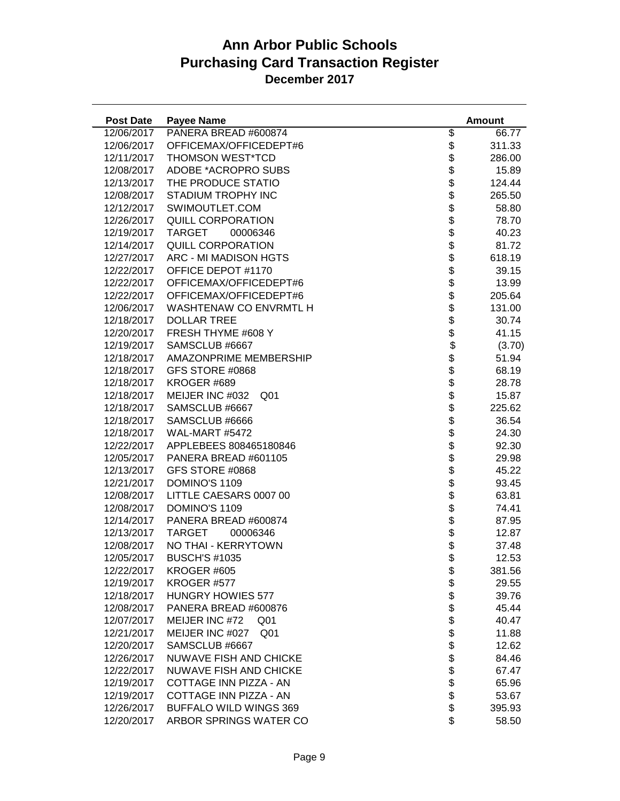| <b>Post Date</b> | <b>Payee Name</b>                  |                                                                          | <b>Amount</b> |
|------------------|------------------------------------|--------------------------------------------------------------------------|---------------|
| 12/06/2017       | PANERA BREAD #600874               | \$                                                                       | 66.77         |
| 12/06/2017       | OFFICEMAX/OFFICEDEPT#6             | \$                                                                       | 311.33        |
| 12/11/2017       | THOMSON WEST*TCD                   | \$                                                                       | 286.00        |
| 12/08/2017       | ADOBE *ACROPRO SUBS                |                                                                          | 15.89         |
| 12/13/2017       | THE PRODUCE STATIO                 |                                                                          | 124.44        |
| 12/08/2017       | STADIUM TROPHY INC                 |                                                                          | 265.50        |
| 12/12/2017       | SWIMOUTLET.COM                     |                                                                          | 58.80         |
| 12/26/2017       | <b>QUILL CORPORATION</b>           |                                                                          | 78.70         |
| 12/19/2017       | <b>TARGET</b><br>00006346          |                                                                          | 40.23         |
| 12/14/2017       | QUILL CORPORATION                  |                                                                          | 81.72         |
| 12/27/2017       | ARC - MI MADISON HGTS              |                                                                          | 618.19        |
| 12/22/2017       | OFFICE DEPOT #1170                 |                                                                          | 39.15         |
| 12/22/2017       | OFFICEMAX/OFFICEDEPT#6             |                                                                          | 13.99         |
| 12/22/2017       | OFFICEMAX/OFFICEDEPT#6             |                                                                          | 205.64        |
| 12/06/2017       | WASHTENAW CO ENVRMTL H             |                                                                          | 131.00        |
| 12/18/2017       | <b>DOLLAR TREE</b>                 |                                                                          | 30.74         |
| 12/20/2017       | FRESH THYME #608 Y                 |                                                                          | 41.15         |
| 12/19/2017       | SAMSCLUB #6667                     |                                                                          | (3.70)        |
| 12/18/2017       | AMAZONPRIME MEMBERSHIP             |                                                                          | 51.94         |
| 12/18/2017       | GFS STORE #0868                    |                                                                          | 68.19         |
| 12/18/2017       | KROGER #689                        |                                                                          | 28.78         |
| 12/18/2017       | MEIJER INC #032<br>Q <sub>01</sub> |                                                                          | 15.87         |
| 12/18/2017       | SAMSCLUB #6667                     |                                                                          | 225.62        |
| 12/18/2017       | SAMSCLUB #6666                     | \$\$\$\$\$\$\$\$\$\$\$\$\$\$\$\$\$\$\$\$\$\$\$\$\$\$\$\$\$\$\$\$\$\$\$\$ | 36.54         |
| 12/18/2017       | WAL-MART #5472                     |                                                                          | 24.30         |
| 12/22/2017       | APPLEBEES 808465180846             |                                                                          | 92.30         |
| 12/05/2017       | PANERA BREAD #601105               |                                                                          | 29.98         |
| 12/13/2017       | GFS STORE #0868                    |                                                                          | 45.22         |
| 12/21/2017       | DOMINO'S 1109                      |                                                                          | 93.45         |
| 12/08/2017       | LITTLE CAESARS 0007 00             |                                                                          | 63.81         |
| 12/08/2017       | DOMINO'S 1109                      |                                                                          | 74.41         |
| 12/14/2017       | PANERA BREAD #600874               |                                                                          | 87.95         |
| 12/13/2017       | <b>TARGET</b><br>00006346          | \$                                                                       | 12.87         |
| 12/08/2017       | NO THAI - KERRYTOWN                | \$                                                                       | 37.48         |
| 12/05/2017       | <b>BUSCH'S #1035</b>               | \$                                                                       | 12.53         |
| 12/22/2017       | KROGER #605                        | \$                                                                       | 381.56        |
| 12/19/2017       | KROGER #577                        |                                                                          | 29.55         |
| 12/18/2017       | <b>HUNGRY HOWIES 577</b>           |                                                                          | 39.76         |
| 12/08/2017       | PANERA BREAD #600876               |                                                                          | 45.44         |
| 12/07/2017       | MEIJER INC #72<br>Q <sub>01</sub>  |                                                                          | 40.47         |
| 12/21/2017       | MEIJER INC #027<br>Q <sub>01</sub> |                                                                          | 11.88         |
| 12/20/2017       | SAMSCLUB #6667                     |                                                                          | 12.62         |
| 12/26/2017       | NUWAVE FISH AND CHICKE             |                                                                          | 84.46         |
| 12/22/2017       | <b>NUWAVE FISH AND CHICKE</b>      |                                                                          | 67.47         |
| 12/19/2017       | COTTAGE INN PIZZA - AN             | \$\$\$\$\$\$\$\$\$\$\$\$\$                                               | 65.96         |
| 12/19/2017       | COTTAGE INN PIZZA - AN             |                                                                          | 53.67         |
| 12/26/2017       | <b>BUFFALO WILD WINGS 369</b>      |                                                                          | 395.93        |
| 12/20/2017       | ARBOR SPRINGS WATER CO             |                                                                          | 58.50         |
|                  |                                    |                                                                          |               |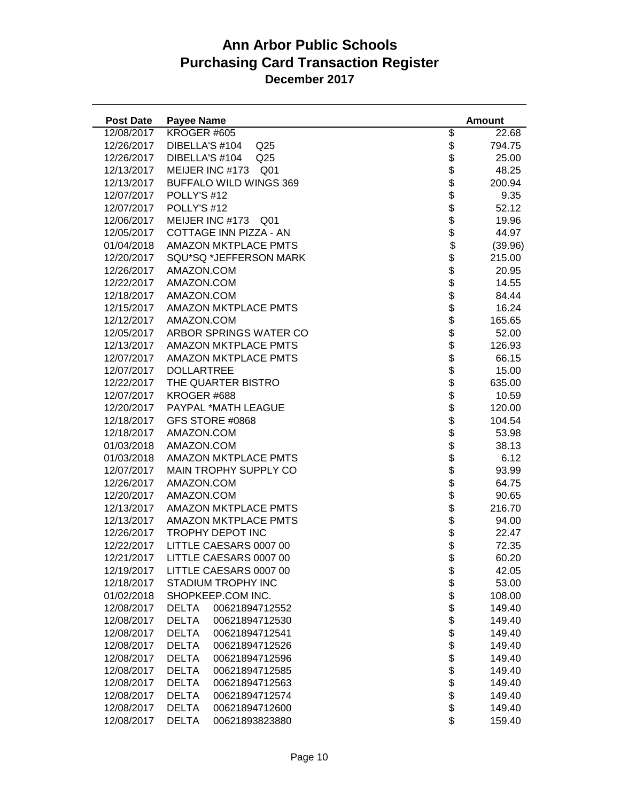| <b>Post Date</b> | <b>Payee Name</b>                  |                    | <b>Amount</b> |
|------------------|------------------------------------|--------------------|---------------|
| 12/08/2017       | KROGER #605                        | \$                 | 22.68         |
| 12/26/2017       | DIBELLA'S #104<br>Q <sub>25</sub>  | \$                 | 794.75        |
| 12/26/2017       | DIBELLA'S #104<br>Q <sub>25</sub>  |                    | 25.00         |
| 12/13/2017       | MEIJER INC #173<br>Q <sub>01</sub> |                    | 48.25         |
| 12/13/2017       | <b>BUFFALO WILD WINGS 369</b>      |                    | 200.94        |
| 12/07/2017       | POLLY'S #12                        |                    | 9.35          |
| 12/07/2017       | POLLY'S #12                        |                    | 52.12         |
| 12/06/2017       | MEIJER INC #173<br>Q <sub>01</sub> |                    | 19.96         |
| 12/05/2017       | COTTAGE INN PIZZA - AN             |                    | 44.97         |
| 01/04/2018       | <b>AMAZON MKTPLACE PMTS</b>        |                    | (39.96)       |
| 12/20/2017       | SQU*SQ *JEFFERSON MARK             |                    | 215.00        |
| 12/26/2017       | AMAZON.COM                         |                    | 20.95         |
| 12/22/2017       | AMAZON.COM                         |                    | 14.55         |
| 12/18/2017       | AMAZON.COM                         |                    | 84.44         |
| 12/15/2017       | AMAZON MKTPLACE PMTS               |                    | 16.24         |
| 12/12/2017       | AMAZON.COM                         |                    | 165.65        |
| 12/05/2017       | ARBOR SPRINGS WATER CO             |                    | 52.00         |
| 12/13/2017       | <b>AMAZON MKTPLACE PMTS</b>        |                    | 126.93        |
| 12/07/2017       | <b>AMAZON MKTPLACE PMTS</b>        |                    | 66.15         |
| 12/07/2017       | <b>DOLLARTREE</b>                  |                    | 15.00         |
| 12/22/2017       | THE QUARTER BISTRO                 |                    | 635.00        |
| 12/07/2017       | KROGER #688                        |                    | 10.59         |
| 12/20/2017       | PAYPAL *MATH LEAGUE                |                    | 120.00        |
| 12/18/2017       | GFS STORE #0868                    |                    | 104.54        |
| 12/18/2017       | AMAZON.COM                         |                    | 53.98         |
| 01/03/2018       | AMAZON.COM                         |                    | 38.13         |
| 01/03/2018       | <b>AMAZON MKTPLACE PMTS</b>        |                    | 6.12          |
| 12/07/2017       | MAIN TROPHY SUPPLY CO              |                    | 93.99         |
| 12/26/2017       | AMAZON.COM                         |                    | 64.75         |
| 12/20/2017       | AMAZON.COM                         |                    | 90.65         |
| 12/13/2017       | <b>AMAZON MKTPLACE PMTS</b>        |                    | 216.70        |
| 12/13/2017       | <b>AMAZON MKTPLACE PMTS</b>        | \$                 | 94.00         |
| 12/26/2017       | TROPHY DEPOT INC                   | \$                 | 22.47         |
| 12/22/2017       | LITTLE CAESARS 0007 00             | \$                 | 72.35         |
| 12/21/2017       | LITTLE CAESARS 0007 00             | \$                 | 60.20         |
| 12/19/2017       | LITTLE CAESARS 0007 00             | \$                 | 42.05         |
| 12/18/2017       | STADIUM TROPHY INC                 |                    | 53.00         |
| 01/02/2018       | SHOPKEEP.COM INC.                  |                    | 108.00        |
| 12/08/2017       | <b>DELTA</b><br>00621894712552     |                    | 149.40        |
| 12/08/2017       | <b>DELTA</b><br>00621894712530     |                    | 149.40        |
| 12/08/2017       | <b>DELTA</b><br>00621894712541     |                    | 149.40        |
| 12/08/2017       | <b>DELTA</b><br>00621894712526     |                    | 149.40        |
| 12/08/2017       | <b>DELTA</b><br>00621894712596     |                    | 149.40        |
| 12/08/2017       | <b>DELTA</b><br>00621894712585     | <b>88888888888</b> | 149.40        |
| 12/08/2017       | <b>DELTA</b><br>00621894712563     |                    | 149.40        |
| 12/08/2017       | <b>DELTA</b><br>00621894712574     |                    | 149.40        |
| 12/08/2017       | <b>DELTA</b><br>00621894712600     |                    | 149.40        |
| 12/08/2017       | <b>DELTA</b><br>00621893823880     | \$                 | 159.40        |